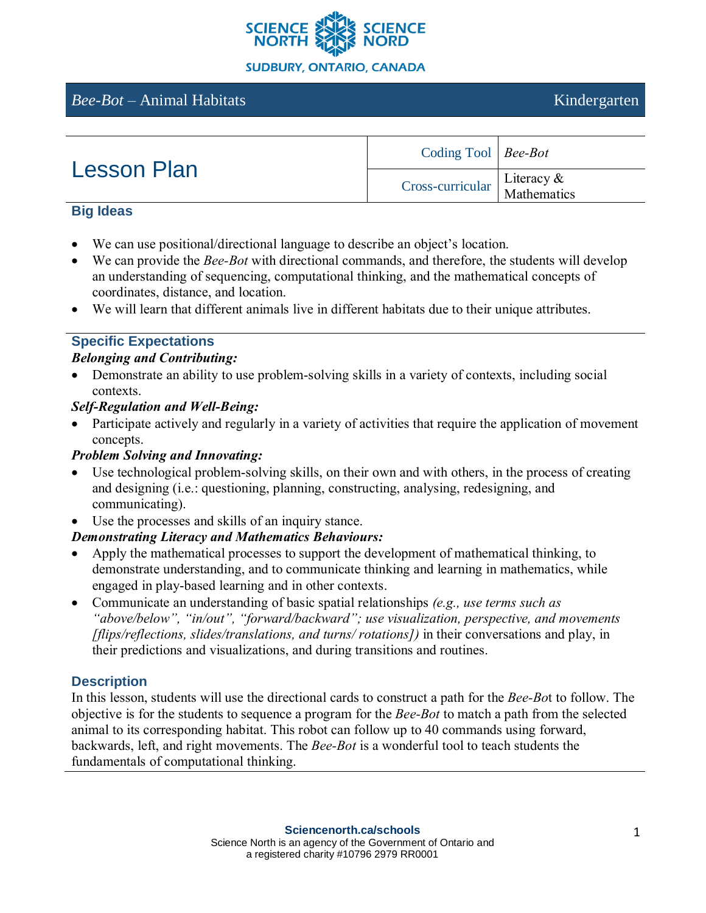

# *Bee-Bot* – Animal Habitats Kindergarten

| <b>Lesson Plan</b> | Coding Tool   Bee-Bot                                                                               |  |
|--------------------|-----------------------------------------------------------------------------------------------------|--|
|                    | $\begin{array}{c c}\n\text{Cross-curricular} & \text{Literacy & \& \text{Mathematics}\n\end{array}$ |  |

#### **Big Ideas**

- We can use positional/directional language to describe an object's location.
- We can provide the *Bee-Bot* with directional commands, and therefore, the students will develop an understanding of sequencing, computational thinking, and the mathematical concepts of coordinates, distance, and location.
- We will learn that different animals live in different habitats due to their unique attributes.

#### **Specific Expectations**

## *Belonging and Contributing:*

• Demonstrate an ability to use problem-solving skills in a variety of contexts, including social contexts.

## *Self-Regulation and Well-Being:*

• Participate actively and regularly in a variety of activities that require the application of movement concepts.

#### *Problem Solving and Innovating:*

- Use technological problem-solving skills, on their own and with others, in the process of creating and designing (i.e.: questioning, planning, constructing, analysing, redesigning, and communicating).
- Use the processes and skills of an inquiry stance.

## *Demonstrating Literacy and Mathematics Behaviours:*

- Apply the mathematical processes to support the development of mathematical thinking, to demonstrate understanding, and to communicate thinking and learning in mathematics, while engaged in play-based learning and in other contexts.
- Communicate an understanding of basic spatial relationships *(e.g., use terms such as "above/below", "in/out", "forward/backward"; use visualization, perspective, and movements [flips/reflections, slides/translations, and turns/ rotations])* in their conversations and play, in their predictions and visualizations, and during transitions and routines.

## **Description**

In this lesson, students will use the directional cards to construct a path for the *Bee-Bo*t to follow. The objective is for the students to sequence a program for the *Bee-Bot* to match a path from the selected animal to its corresponding habitat. This robot can follow up to 40 commands using forward, backwards, left, and right movements. The *Bee-Bot* is a wonderful tool to teach students the fundamentals of computational thinking.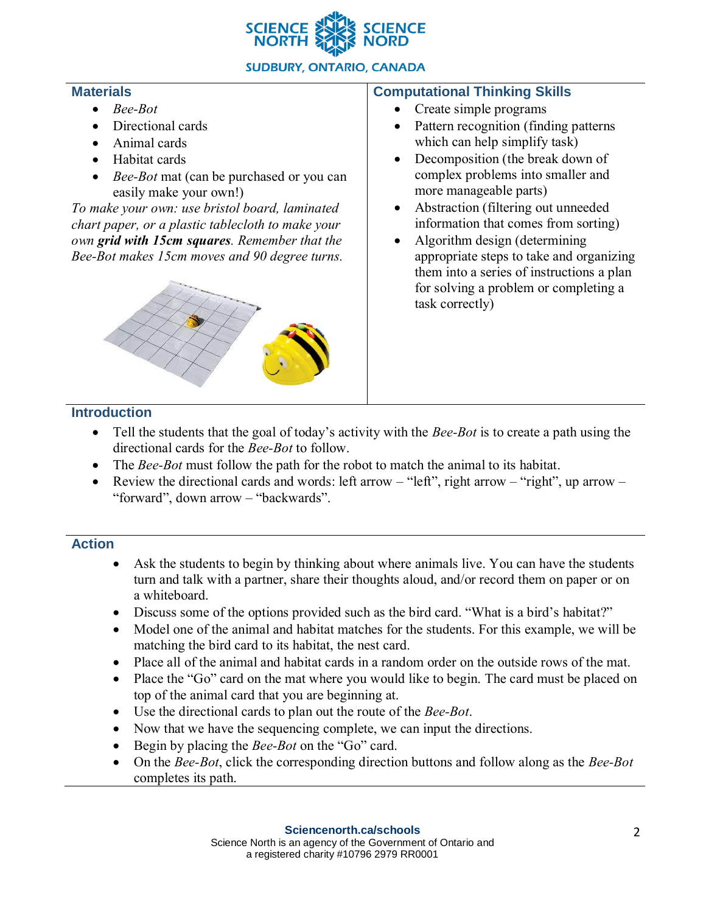

## **SUDBURY, ONTARIO, CANADA**

#### **Materials**

- *Bee-Bot*
- Directional cards
- Animal cards
- Habitat cards
- *Bee-Bot* mat (can be purchased or you can easily make your own!)

*To make your own: use bristol board, laminated chart paper, or a plastic tablecloth to make your own grid with 15cm squares. Remember that the Bee-Bot makes 15cm moves and 90 degree turns.* 



#### **Computational Thinking Skills**

- Create simple programs
- Pattern recognition (finding patterns) which can help simplify task)
- Decomposition (the break down of complex problems into smaller and more manageable parts)
- Abstraction (filtering out unneeded information that comes from sorting)
- Algorithm design (determining appropriate steps to take and organizing them into a series of instructions a plan for solving a problem or completing a task correctly)

## **Introduction**

- Tell the students that the goal of today's activity with the *Bee-Bot* is to create a path using the directional cards for the *Bee-Bot* to follow.
- The *Bee-Bot* must follow the path for the robot to match the animal to its habitat.
- Review the directional cards and words: left arrow "left", right arrow "right", up arrow "forward", down arrow – "backwards".

## **Action**

- Ask the students to begin by thinking about where animals live. You can have the students turn and talk with a partner, share their thoughts aloud, and/or record them on paper or on a whiteboard.
- Discuss some of the options provided such as the bird card. "What is a bird's habitat?"
- Model one of the animal and habitat matches for the students. For this example, we will be matching the bird card to its habitat, the nest card.
- Place all of the animal and habitat cards in a random order on the outside rows of the mat.
- Place the "Go" card on the mat where you would like to begin. The card must be placed on top of the animal card that you are beginning at.
- Use the directional cards to plan out the route of the *Bee-Bot*.
- Now that we have the sequencing complete, we can input the directions.
- Begin by placing the *Bee-Bot* on the "Go" card.
- On the *Bee-Bot*, click the corresponding direction buttons and follow along as the *Bee-Bot* completes its path.